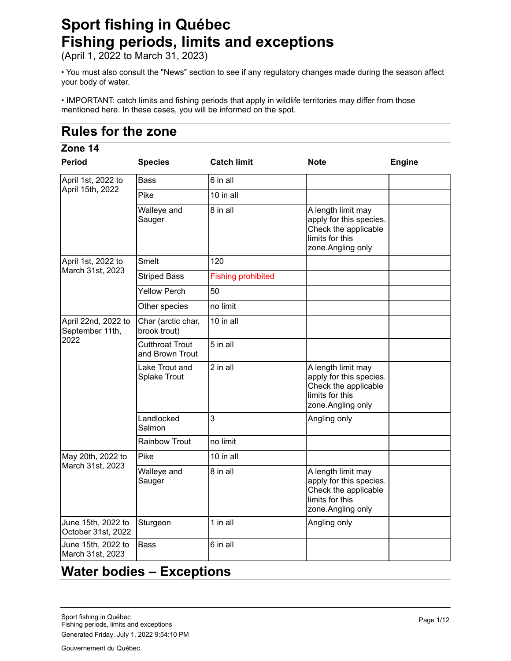# **Sport fishing in Québec Fishing periods, limits and exceptions**

(April 1, 2022 to March 31, 2023)

• You must also consult the "News" section to see if any regulatory changes made during the season affect your body of water.

• IMPORTANT: catch limits and fishing periods that apply in wildlife territories may differ from those mentioned here. In these cases, you will be informed on the spot.

## **Rules for the zone**

#### **Period Species Catch limit Note Engine** 6 in all 10 in all 8 in all **A** length limit may apply for this species. Check the applicable limits for this zone.Angling only 120 Fishing prohibited 50 no limit 10 in all 5 in all 2 in all A length limit may apply for this species. Check the applicable limits for this zone.Angling only 3 Angling only no limit 10 in all 8 in all **A** length limit may apply for this species. Check the applicable limits for this zone.Angling only 1 in all **Angling only** 6 in all **Zone 14** April 1st, 2022 to April 15th, 2022 Bass Pike Walleye and Sauger April 1st, 2022 to March 31st, 2023 Smelt Striped Bass Yellow Perch Other species April 22nd, 2022 to September 11th, 2022 Char (arctic char, brook trout) Cutthroat Trout and Brown Trout Lake Trout and Splake Trout Landlocked Salmon Rainbow Trout May 20th, 2022 to March 31st, 2023 Pike Walleye and Sauger June 15th, 2022 to October 31st, 2022 Sturgeon June 15th, 2022 to March 31st, 2023 **Bass**

### **Water bodies – Exceptions**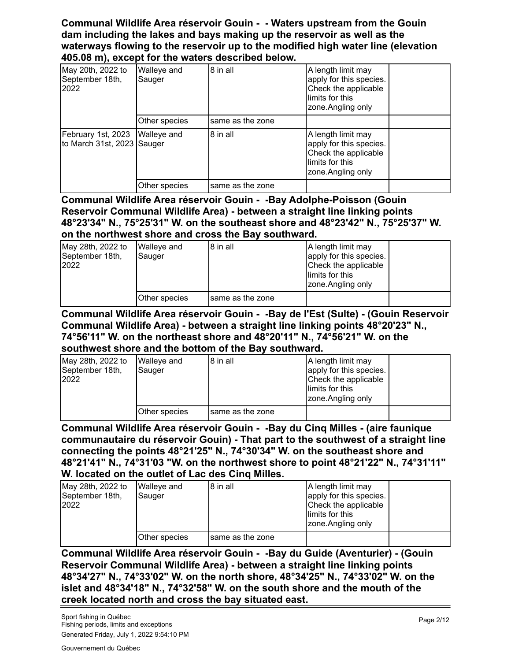#### **Communal Wildlife Area réservoir Gouin - - Waters upstream from the Gouin dam including the lakes and bays making up the reservoir as well as the waterways flowing to the reservoir up to the modified high water line (elevation 405.08 m), except for the waters described below.**

| May 20th, 2022 to<br> September 18th,<br>2022    | Walleye and<br>Sauger | 8 in all         | A length limit may<br>apply for this species.<br>Check the applicable<br>limits for this<br>zone. Angling only |  |
|--------------------------------------------------|-----------------------|------------------|----------------------------------------------------------------------------------------------------------------|--|
|                                                  | Other species         | same as the zone |                                                                                                                |  |
| February 1st, 2023<br>to March 31st, 2023 Sauger | <b>Walleye</b> and    | 8 in all         | A length limit may<br>apply for this species.<br>Check the applicable<br>limits for this<br>zone.Angling only  |  |
|                                                  | Other species         | same as the zone |                                                                                                                |  |

**Communal Wildlife Area réservoir Gouin - -Bay Adolphe-Poisson (Gouin Reservoir Communal Wildlife Area) - between a straight line linking points 48°23'34" N., 75°25'31" W. on the southeast shore and 48°23'42" N., 75°25'37" W. on the northwest shore and cross the Bay southward.**

| May 28th, 2022 to<br>September 18th,<br>2022 | <b>Walleye and</b><br>Sauger | 8 in all          | A length limit may<br>apply for this species.<br>Check the applicable<br>llimits for this<br>zone.Angling only |  |
|----------------------------------------------|------------------------------|-------------------|----------------------------------------------------------------------------------------------------------------|--|
|                                              | Other species                | Isame as the zone |                                                                                                                |  |

#### **Communal Wildlife Area réservoir Gouin - -Bay de l'Est (Sulte) - (Gouin Reservoir Communal Wildlife Area) - between a straight line linking points 48°20'23" N., 74°56'11" W. on the northeast shore and 48°20'11" N., 74°56'21" W. on the southwest shore and the bottom of the Bay southward.**

| May 28th, 2022 to<br>September 18th,<br>2022 | <b>Walleye and</b><br>Sauger | 8 in all         | A length limit may<br>apply for this species.<br>Check the applicable<br>llimits for this<br>zone.Angling only |  |
|----------------------------------------------|------------------------------|------------------|----------------------------------------------------------------------------------------------------------------|--|
|                                              | Other species                | same as the zone |                                                                                                                |  |

**Communal Wildlife Area réservoir Gouin - -Bay du Cinq Milles - (aire faunique communautaire du réservoir Gouin) - That part to the southwest of a straight line connecting the points 48°21'25" N., 74°30'34" W. on the southeast shore and 48°21'41" N., 74°31'03 "W. on the northwest shore to point 48°21'22" N., 74°31'11" W. located on the outlet of Lac des Cinq Milles.**

| May 28th, 2022 to<br>September 18th,<br>2022 | <b>Walleye and</b><br>Sauger | 8 in all         | A length limit may<br>apply for this species.<br>Check the applicable<br>llimits for this<br>zone.Angling only |  |
|----------------------------------------------|------------------------------|------------------|----------------------------------------------------------------------------------------------------------------|--|
|                                              | Other species                | same as the zone |                                                                                                                |  |

**Communal Wildlife Area réservoir Gouin - -Bay du Guide (Aventurier) - (Gouin Reservoir Communal Wildlife Area) - between a straight line linking points 48°34'27" N., 74°33'02" W. on the north shore, 48°34'25" N., 74°33'02" W. on the islet and 48°34'18" N., 74°32'58" W. on the south shore and the mouth of the creek located north and cross the bay situated east.**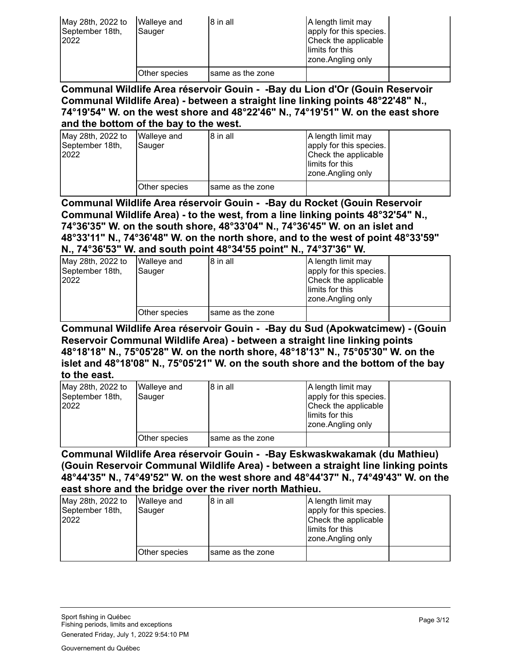| May 28th, 2022 to<br>September 18th,<br>2022 | <b>Walleye and</b><br>Sauger | 8 in all          | A length limit may<br>apply for this species.<br>Check the applicable<br>llimits for this<br>zone.Angling only |  |
|----------------------------------------------|------------------------------|-------------------|----------------------------------------------------------------------------------------------------------------|--|
|                                              | Other species                | Isame as the zone |                                                                                                                |  |

**Communal Wildlife Area réservoir Gouin - -Bay du Lion d'Or (Gouin Reservoir Communal Wildlife Area) - between a straight line linking points 48°22'48" N., 74°19'54" W. on the west shore and 48°22'46" N., 74°19'51" W. on the east shore and the bottom of the bay to the west.**

| May 28th, 2022 to<br>September 18th,<br>2022 | Walleve and<br>Sauger | 8 in all          | A length limit may<br>apply for this species.<br>Check the applicable<br>llimits for this<br>zone.Angling only |  |
|----------------------------------------------|-----------------------|-------------------|----------------------------------------------------------------------------------------------------------------|--|
|                                              | Other species         | Isame as the zone |                                                                                                                |  |

**Communal Wildlife Area réservoir Gouin - -Bay du Rocket (Gouin Reservoir Communal Wildlife Area) - to the west, from a line linking points 48°32'54" N., 74°36'35" W. on the south shore, 48°33'04" N., 74°36'45" W. on an islet and 48°33'11" N., 74°36'48" W. on the north shore, and to the west of point 48°33'59" N., 74°36'53" W. and south point 48°34'55 point" N., 74°37'36" W.**

| May 28th, 2022 to<br>September 18th,<br>2022 | Walleye and<br>Sauger | 8 in all          | A length limit may<br>apply for this species.<br>Check the applicable<br>llimits for this<br>zone.Angling only |  |
|----------------------------------------------|-----------------------|-------------------|----------------------------------------------------------------------------------------------------------------|--|
|                                              | Other species         | Isame as the zone |                                                                                                                |  |

**Communal Wildlife Area réservoir Gouin - -Bay du Sud (Apokwatcimew) - (Gouin Reservoir Communal Wildlife Area) - between a straight line linking points 48°18'18" N., 75°05'28" W. on the north shore, 48°18'13" N., 75°05'30" W. on the islet and 48°18'08" N., 75°05'21" W. on the south shore and the bottom of the bay to the east.**

| May 28th, 2022 to<br>September 18th,<br>2022 | <b>Walleye and</b><br>Sauger | 18 in all         | A length limit may<br>apply for this species.<br>Check the applicable<br>llimits for this<br>zone.Angling only |  |
|----------------------------------------------|------------------------------|-------------------|----------------------------------------------------------------------------------------------------------------|--|
|                                              | Other species                | Isame as the zone |                                                                                                                |  |

**Communal Wildlife Area réservoir Gouin - -Bay Eskwaskwakamak (du Mathieu) (Gouin Reservoir Communal Wildlife Area) - between a straight line linking points 48°44'35" N., 74°49'52" W. on the west shore and 48°44'37" N., 74°49'43" W. on the east shore and the bridge over the river north Mathieu.**

| May 28th, 2022 to<br>September 18th,<br>2022 | Walleye and<br>Sauger | 8 in all         | A length limit may<br>apply for this species.<br>Check the applicable<br>llimits for this<br>zone.Angling only |  |
|----------------------------------------------|-----------------------|------------------|----------------------------------------------------------------------------------------------------------------|--|
|                                              | Other species         | same as the zone |                                                                                                                |  |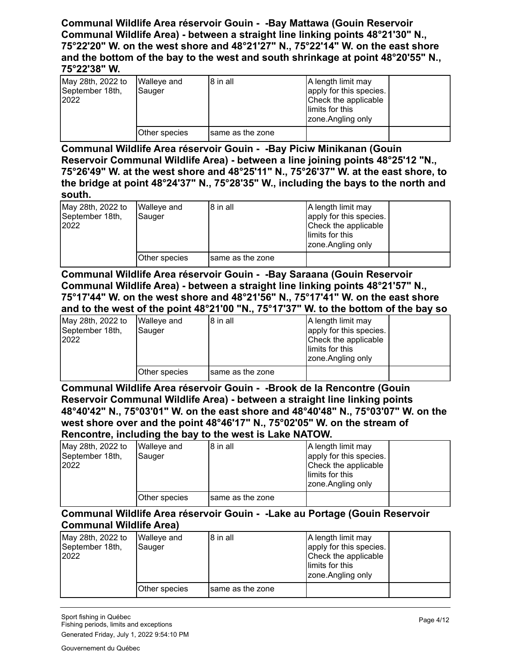#### **Communal Wildlife Area réservoir Gouin - -Bay Mattawa (Gouin Reservoir Communal Wildlife Area) - between a straight line linking points 48°21'30" N., 75°22'20" W. on the west shore and 48°21'27" N., 75°22'14" W. on the east shore and the bottom of the bay to the west and south shrinkage at point 48°20'55" N., 75°22'38" W.**

| May 28th, 2022 to<br>September 18th,<br>2022 | Walleye and<br>Sauger | 8 in all          | A length limit may<br>apply for this species.<br>Check the applicable<br>llimits for this<br>zone.Angling only |  |
|----------------------------------------------|-----------------------|-------------------|----------------------------------------------------------------------------------------------------------------|--|
|                                              | Other species         | Isame as the zone |                                                                                                                |  |

**Communal Wildlife Area réservoir Gouin - -Bay Piciw Minikanan (Gouin Reservoir Communal Wildlife Area) - between a line joining points 48°25'12 "N., 75°26'49" W. at the west shore and 48°25'11" N., 75°26'37" W. at the east shore, to the bridge at point 48°24'37" N., 75°28'35" W., including the bays to the north and south.**

| May 28th, 2022 to<br>September 18th,<br>2022 | Walleve and<br>Sauger | 8 in all         | A length limit may<br>apply for this species.<br>Check the applicable<br>llimits for this<br>zone.Angling only |  |
|----------------------------------------------|-----------------------|------------------|----------------------------------------------------------------------------------------------------------------|--|
|                                              | Other species         | same as the zone |                                                                                                                |  |

**Communal Wildlife Area réservoir Gouin - -Bay Saraana (Gouin Reservoir Communal Wildlife Area) - between a straight line linking points 48°21'57" N., 75°17'44" W. on the west shore and 48°21'56" N., 75°17'41" W. on the east shore and to the west of the point 48°21'00 "N., 75°17'37" W. to the bottom of the bay so**

| May 28th, 2022 to<br>September 18th,<br>2022 | <b>Walleye and</b><br>Sauger | 8 in all          | A length limit may<br>apply for this species.<br>Check the applicable<br>llimits for this<br>zone.Angling only |  |
|----------------------------------------------|------------------------------|-------------------|----------------------------------------------------------------------------------------------------------------|--|
|                                              | Other species                | Isame as the zone |                                                                                                                |  |

**Communal Wildlife Area réservoir Gouin - -Brook de la Rencontre (Gouin Reservoir Communal Wildlife Area) - between a straight line linking points 48°40'42" N., 75°03'01" W. on the east shore and 48°40'48" N., 75°03'07" W. on the west shore over and the point 48°46'17" N., 75°02'05" W. on the stream of Rencontre, including the bay to the west is Lake NATOW.**

| May 28th, 2022 to<br>September 18th,<br>2022 | <b>Walleye and</b><br>Sauger | 8 in all         | A length limit may<br>apply for this species.<br>Check the applicable<br>llimits for this<br>zone.Angling only |  |
|----------------------------------------------|------------------------------|------------------|----------------------------------------------------------------------------------------------------------------|--|
|                                              | Other species                | same as the zone |                                                                                                                |  |

#### **Communal Wildlife Area réservoir Gouin - -Lake au Portage (Gouin Reservoir Communal Wildlife Area)**

| May 28th, 2022 to<br>September 18th,<br>2022 | Walleye and<br>Sauger | 8 in all          | A length limit may<br>apply for this species.<br>Check the applicable<br>limits for this<br>zone.Angling only |  |
|----------------------------------------------|-----------------------|-------------------|---------------------------------------------------------------------------------------------------------------|--|
|                                              | Other species         | Isame as the zone |                                                                                                               |  |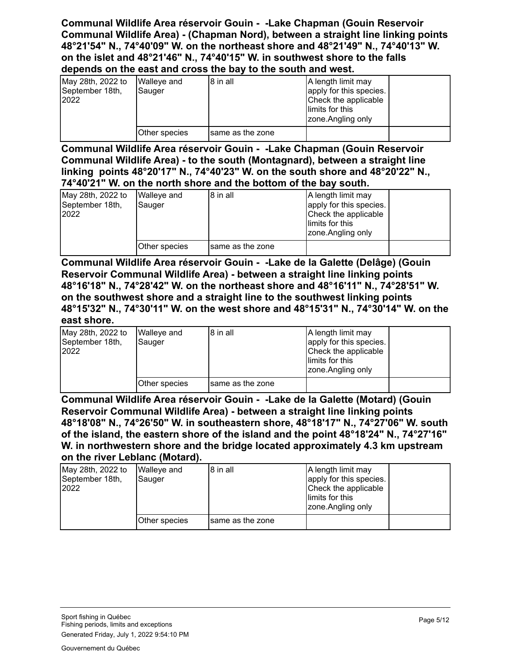**Communal Wildlife Area réservoir Gouin - -Lake Chapman (Gouin Reservoir Communal Wildlife Area) - (Chapman Nord), between a straight line linking points 48°21'54" N., 74°40'09" W. on the northeast shore and 48°21'49" N., 74°40'13" W. on the islet and 48°21'46" N., 74°40'15" W. in southwest shore to the falls depends on the east and cross the bay to the south and west.**

| May 28th, 2022 to<br>September 18th,<br>2022 | <b>Walleye and</b><br>Sauger | 8 in all          | A length limit may<br>apply for this species.<br>Check the applicable<br>llimits for this<br>zone.Angling only |  |
|----------------------------------------------|------------------------------|-------------------|----------------------------------------------------------------------------------------------------------------|--|
|                                              | Other species                | Isame as the zone |                                                                                                                |  |

**Communal Wildlife Area réservoir Gouin - -Lake Chapman (Gouin Reservoir Communal Wildlife Area) - to the south (Montagnard), between a straight line linking points 48°20'17" N., 74°40'23" W. on the south shore and 48°20'22" N., 74°40'21" W. on the north shore and the bottom of the bay south.**

| May 28th, 2022 to<br>September 18th,<br>2022 | Walleve and<br>Sauger | 18 in all         | A length limit may<br>apply for this species.<br>Check the applicable |  |
|----------------------------------------------|-----------------------|-------------------|-----------------------------------------------------------------------|--|
|                                              |                       |                   | llimits for this<br>zone.Angling only                                 |  |
|                                              | Other species         | Isame as the zone |                                                                       |  |

**Communal Wildlife Area réservoir Gouin - -Lake de la Galette (Delâge) (Gouin Reservoir Communal Wildlife Area) - between a straight line linking points 48°16'18" N., 74°28'42" W. on the northeast shore and 48°16'11" N., 74°28'51" W. on the southwest shore and a straight line to the southwest linking points 48°15'32" N., 74°30'11" W. on the west shore and 48°15'31" N., 74°30'14" W. on the east shore.**

| May 28th, 2022 to<br>September 18th,<br>2022 | Walleve and<br>Sauger | 8 in all         | A length limit may<br>apply for this species.<br>Check the applicable<br>llimits for this<br>zone.Angling only |  |
|----------------------------------------------|-----------------------|------------------|----------------------------------------------------------------------------------------------------------------|--|
|                                              | Other species         | same as the zone |                                                                                                                |  |

**Communal Wildlife Area réservoir Gouin - -Lake de la Galette (Motard) (Gouin Reservoir Communal Wildlife Area) - between a straight line linking points 48°18'08" N., 74°26'50" W. in southeastern shore, 48°18'17" N., 74°27'06" W. south of the island, the eastern shore of the island and the point 48°18'24" N., 74°27'16" W. in northwestern shore and the bridge located approximately 4.3 km upstream on the river Leblanc (Motard).**

| May 28th, 2022 to<br>September 18th,<br>2022 | <b>Walleye and</b><br>Sauger | 18 in all         | A length limit may<br>apply for this species.<br>Check the applicable<br>llimits for this<br>zone.Angling only |  |
|----------------------------------------------|------------------------------|-------------------|----------------------------------------------------------------------------------------------------------------|--|
|                                              | Other species                | Isame as the zone |                                                                                                                |  |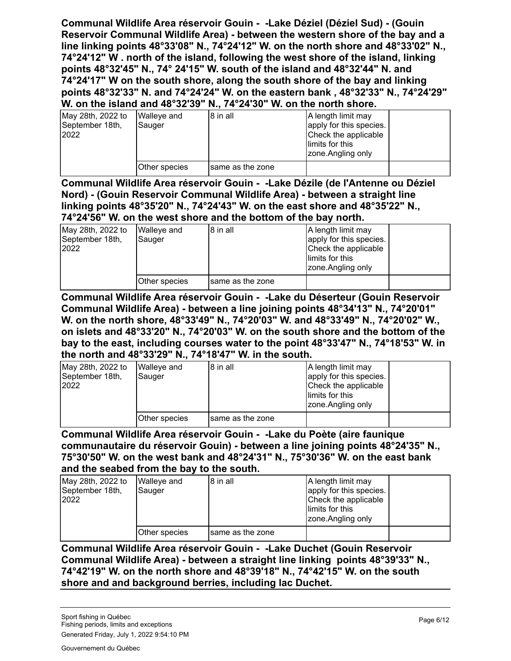**Communal Wildlife Area réservoir Gouin - -Lake Déziel (Déziel Sud) - (Gouin Reservoir Communal Wildlife Area) - between the western shore of the bay and a line linking points 48°33'08" N., 74°24'12" W. on the north shore and 48°33'02" N., 74°24'12" W . north of the island, following the west shore of the island, linking points 48°32'45" N., 74° 24'15" W. south of the island and 48°32'44" N. and 74°24'17" W on the south shore, along the south shore of the bay and linking points 48°32'33" N. and 74°24'24" W. on the eastern bank , 48°32'33" N., 74°24'29" W. on the island and 48°32'39" N., 74°24'30" W. on the north shore.**

| May 28th, 2022 to<br>September 18th,<br>2022 | <b>Walleye and</b><br>Sauger | 8 in all         | A length limit may<br>apply for this species.<br>Check the applicable<br>llimits for this<br>zone.Angling only |  |
|----------------------------------------------|------------------------------|------------------|----------------------------------------------------------------------------------------------------------------|--|
|                                              | Other species                | same as the zone |                                                                                                                |  |

**Communal Wildlife Area réservoir Gouin - -Lake Dézile (de l'Antenne ou Déziel Nord) - (Gouin Reservoir Communal Wildlife Area) - between a straight line linking points 48°35'20" N., 74°24'43" W. on the east shore and 48°35'22" N., 74°24'56" W. on the west shore and the bottom of the bay north.**

| May 28th, 2022 to<br>September 18th,<br>2022 | <b>Walleye and</b><br>Sauger | 8 in all         | A length limit may<br>apply for this species.<br>Check the applicable<br>llimits for this<br>zone.Angling only |  |
|----------------------------------------------|------------------------------|------------------|----------------------------------------------------------------------------------------------------------------|--|
|                                              | Other species                | same as the zone |                                                                                                                |  |

**Communal Wildlife Area réservoir Gouin - -Lake du Déserteur (Gouin Reservoir Communal Wildlife Area) - between a line joining points 48°34'13" N., 74°20'01" W. on the north shore, 48°33'49" N., 74°20'03" W. and 48°33'49" N., 74°20'02" W., on islets and 48°33'20" N., 74°20'03" W. on the south shore and the bottom of the bay to the east, including courses water to the point 48°33'47" N., 74°18'53" W. in the north and 48°33'29" N., 74°18'47" W. in the south.**

| May 28th, 2022 to<br>September 18th,<br>2022 | Walleye and<br>Sauger | 8 in all         | A length limit may<br>apply for this species.<br>Check the applicable<br>llimits for this<br>zone.Angling only |  |
|----------------------------------------------|-----------------------|------------------|----------------------------------------------------------------------------------------------------------------|--|
|                                              | Other species         | same as the zone |                                                                                                                |  |

**Communal Wildlife Area réservoir Gouin - -Lake du Poète (aire faunique communautaire du réservoir Gouin) - between a line joining points 48°24'35" N., 75°30'50" W. on the west bank and 48°24'31" N., 75°30'36" W. on the east bank and the seabed from the bay to the south.**

| May 28th, 2022 to<br>September 18th,<br>2022 | <b>Walleye and</b><br>Sauger | 8 in all         | A length limit may<br>apply for this species.<br>Check the applicable<br>llimits for this<br>zone.Angling only |  |
|----------------------------------------------|------------------------------|------------------|----------------------------------------------------------------------------------------------------------------|--|
|                                              | Other species                | same as the zone |                                                                                                                |  |

**Communal Wildlife Area réservoir Gouin - -Lake Duchet (Gouin Reservoir Communal Wildlife Area) - between a straight line linking points 48°39'33" N., 74°42'19" W. on the north shore and 48°39'18" N., 74°42'15" W. on the south shore and and background berries, including lac Duchet.**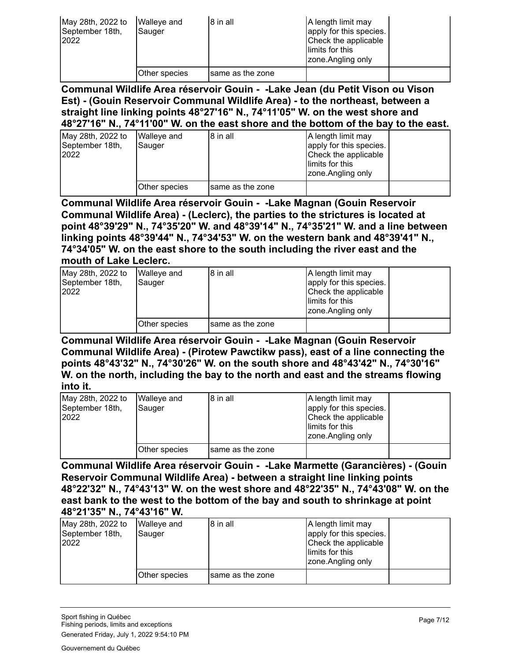| May 28th, 2022 to<br>September 18th,<br>2022 | <b>Walleye and</b><br>Sauger | 8 in all          | A length limit may<br>apply for this species.<br>Check the applicable<br>llimits for this<br>zone.Angling only |  |
|----------------------------------------------|------------------------------|-------------------|----------------------------------------------------------------------------------------------------------------|--|
|                                              | Other species                | Isame as the zone |                                                                                                                |  |

**Communal Wildlife Area réservoir Gouin - -Lake Jean (du Petit Vison ou Vison Est) - (Gouin Reservoir Communal Wildlife Area) - to the northeast, between a straight line linking points 48°27'16" N., 74°11'05" W. on the west shore and 48°27'16" N., 74°11'00" W. on the east shore and the bottom of the bay to the east.**

| May 28th, 2022 to<br>September 18th,<br>2022 | Walleve and<br>Sauger | 8 in all         | A length limit may<br>apply for this species.<br>Check the applicable<br>llimits for this<br>zone.Angling only |  |
|----------------------------------------------|-----------------------|------------------|----------------------------------------------------------------------------------------------------------------|--|
|                                              | Other species         | same as the zone |                                                                                                                |  |

**Communal Wildlife Area réservoir Gouin - -Lake Magnan (Gouin Reservoir Communal Wildlife Area) - (Leclerc), the parties to the strictures is located at point 48°39'29" N., 74°35'20" W. and 48°39'14" N., 74°35'21" W. and a line between linking points 48°39'44" N., 74°34'53" W. on the western bank and 48°39'41" N., 74°34'05" W. on the east shore to the south including the river east and the mouth of Lake Leclerc.**

| May 28th, 2022 to<br>September 18th,<br>2022 | <b>Walleye and</b><br>Sauger | 8 in all         | A length limit may<br>apply for this species.<br>Check the applicable<br>llimits for this<br>zone.Angling only |  |
|----------------------------------------------|------------------------------|------------------|----------------------------------------------------------------------------------------------------------------|--|
|                                              | Other species                | same as the zone |                                                                                                                |  |

**Communal Wildlife Area réservoir Gouin - -Lake Magnan (Gouin Reservoir Communal Wildlife Area) - (Pirotew Pawctikw pass), east of a line connecting the points 48°43'32" N., 74°30'26" W. on the south shore and 48°43'42" N., 74°30'16" W. on the north, including the bay to the north and east and the streams flowing into it.**

| May 28th, 2022 to<br>September 18th,<br>2022 | Walleye and<br>Sauger | 8 in all          | A length limit may<br>apply for this species.<br>Check the applicable<br>llimits for this<br>zone.Angling only |  |
|----------------------------------------------|-----------------------|-------------------|----------------------------------------------------------------------------------------------------------------|--|
|                                              | Other species         | Isame as the zone |                                                                                                                |  |

**Communal Wildlife Area réservoir Gouin - -Lake Marmette (Garancières) - (Gouin Reservoir Communal Wildlife Area) - between a straight line linking points 48°22'32" N., 74°43'13" W. on the west shore and 48°22'35" N., 74°43'08" W. on the east bank to the west to the bottom of the bay and south to shrinkage at point 48°21'35" N., 74°43'16" W.**

| May 28th, 2022 to<br>September 18th,<br>2022 | <b>Walleye and</b><br>Sauger | I8 in all        | A length limit may<br>apply for this species.<br>Check the applicable<br>llimits for this<br>zone.Angling only |  |
|----------------------------------------------|------------------------------|------------------|----------------------------------------------------------------------------------------------------------------|--|
|                                              | Other species                | same as the zone |                                                                                                                |  |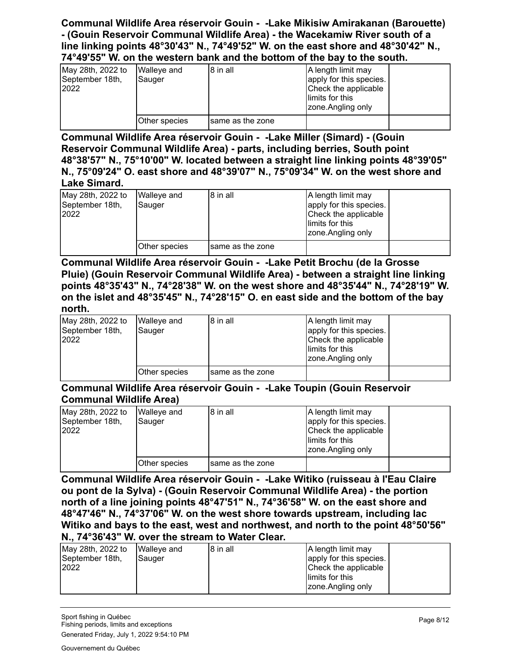#### **Communal Wildlife Area réservoir Gouin - -Lake Mikisiw Amirakanan (Barouette) - (Gouin Reservoir Communal Wildlife Area) - the Wacekamiw River south of a line linking points 48°30'43" N., 74°49'52" W. on the east shore and 48°30'42" N., 74°49'55" W. on the western bank and the bottom of the bay to the south.**

| May 28th, 2022 to<br>September 18th,<br>2022 | Walleve and<br>Sauger | 8 in all          | A length limit may<br>apply for this species.<br>Check the applicable<br>llimits for this<br>zone.Angling only |  |
|----------------------------------------------|-----------------------|-------------------|----------------------------------------------------------------------------------------------------------------|--|
|                                              | Other species         | Isame as the zone |                                                                                                                |  |

**Communal Wildlife Area réservoir Gouin - -Lake Miller (Simard) - (Gouin Reservoir Communal Wildlife Area) - parts, including berries, South point 48°38'57" N., 75°10'00" W. located between a straight line linking points 48°39'05" N., 75°09'24" O. east shore and 48°39'07" N., 75°09'34" W. on the west shore and Lake Simard.**

| May 28th, 2022 to<br>September 18th,<br>2022 | <b>Walleye and</b><br>Sauger | 8 in all          | A length limit may<br>apply for this species.<br>Check the applicable<br>limits for this<br>zone.Angling only |  |
|----------------------------------------------|------------------------------|-------------------|---------------------------------------------------------------------------------------------------------------|--|
|                                              | Other species                | Isame as the zone |                                                                                                               |  |

**Communal Wildlife Area réservoir Gouin - -Lake Petit Brochu (de la Grosse Pluie) (Gouin Reservoir Communal Wildlife Area) - between a straight line linking points 48°35'43" N., 74°28'38" W. on the west shore and 48°35'44" N., 74°28'19" W. on the islet and 48°35'45" N., 74°28'15" O. en east side and the bottom of the bay north.**

| May 28th, 2022 to<br>September 18th,<br>2022 | <b>Walleye and</b><br>Sauger | 18 in all         | A length limit may<br>apply for this species.<br>Check the applicable<br>llimits for this<br>zone.Angling only |  |
|----------------------------------------------|------------------------------|-------------------|----------------------------------------------------------------------------------------------------------------|--|
|                                              | Other species                | Isame as the zone |                                                                                                                |  |

**Communal Wildlife Area réservoir Gouin - -Lake Toupin (Gouin Reservoir Communal Wildlife Area)**

| May 28th, 2022 to<br>September 18th,<br>2022 | Walleye and<br>Sauger | 8 in all          | A length limit may<br>apply for this species.<br>Check the applicable<br>llimits for this<br>zone.Angling only |  |
|----------------------------------------------|-----------------------|-------------------|----------------------------------------------------------------------------------------------------------------|--|
|                                              | Other species         | Isame as the zone |                                                                                                                |  |

**Communal Wildlife Area réservoir Gouin - -Lake Witiko (ruisseau à l'Eau Claire ou pont de la Sylva) - (Gouin Reservoir Communal Wildlife Area) - the portion north of a line joining points 48°47'51" N., 74°36'58" W. on the east shore and 48°47'46" N., 74°37'06" W. on the west shore towards upstream, including lac Witiko and bays to the east, west and northwest, and north to the point 48°50'56" N., 74°36'43" W. over the stream to Water Clear.**

| May 28th, 2022 to<br>September 18th,<br>2022 | <b>Walleye and</b><br>Sauger | 18 in all | A length limit may<br>apply for this species.<br>Check the applicable<br>llimits for this |  |
|----------------------------------------------|------------------------------|-----------|-------------------------------------------------------------------------------------------|--|
|                                              |                              |           | zone.Angling only                                                                         |  |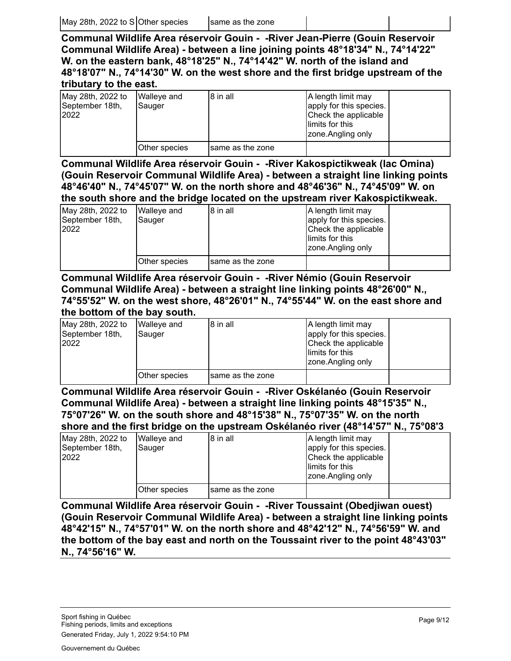**Communal Wildlife Area réservoir Gouin - -River Jean-Pierre (Gouin Reservoir Communal Wildlife Area) - between a line joining points 48°18'34" N., 74°14'22" W. on the eastern bank, 48°18'25" N., 74°14'42" W. north of the island and 48°18'07" N., 74°14'30" W. on the west shore and the first bridge upstream of the tributary to the east.**

| May 28th, 2022 to<br>September 18th,<br>2022 | Walleye and<br>Sauger | 8 in all          | A length limit may<br>apply for this species.<br>Check the applicable<br>llimits for this<br>zone.Angling only |  |
|----------------------------------------------|-----------------------|-------------------|----------------------------------------------------------------------------------------------------------------|--|
|                                              | Other species         | Isame as the zone |                                                                                                                |  |

**Communal Wildlife Area réservoir Gouin - -River Kakospictikweak (lac Omina) (Gouin Reservoir Communal Wildlife Area) - between a straight line linking points 48°46'40" N., 74°45'07" W. on the north shore and 48°46'36" N., 74°45'09" W. on the south shore and the bridge located on the upstream river Kakospictikweak.**

| May 28th, 2022 to<br>September 18th,<br>2022 | Walleye and<br>Sauger | 8 in all          | A length limit may<br>apply for this species.<br>Check the applicable<br>llimits for this<br>zone.Angling only |  |
|----------------------------------------------|-----------------------|-------------------|----------------------------------------------------------------------------------------------------------------|--|
|                                              | Other species         | Isame as the zone |                                                                                                                |  |

**Communal Wildlife Area réservoir Gouin - -River Némio (Gouin Reservoir Communal Wildlife Area) - between a straight line linking points 48°26'00" N., 74°55'52" W. on the west shore, 48°26'01" N., 74°55'44" W. on the east shore and the bottom of the bay south.**

| May 28th, 2022 to<br>September 18th,<br>2022 | <b>Walleye and</b><br>Sauger | 8 in all         | A length limit may<br>apply for this species.<br>Check the applicable<br>llimits for this<br>zone.Angling only |  |
|----------------------------------------------|------------------------------|------------------|----------------------------------------------------------------------------------------------------------------|--|
|                                              | Other species                | same as the zone |                                                                                                                |  |

**Communal Wildlife Area réservoir Gouin - -River Oskélanéo (Gouin Reservoir Communal Wildlife Area) - between a straight line linking points 48°15'35" N., 75°07'26" W. on the south shore and 48°15'38" N., 75°07'35" W. on the north shore and the first bridge on the upstream Oskélanéo river (48°14'57" N., 75°08'3**

|                                              |                       | <u>Allaid wilw tila lilat wilwdd all tila mhati awlli aallaiwiidd i ital</u> |                                                                                                               |  |
|----------------------------------------------|-----------------------|------------------------------------------------------------------------------|---------------------------------------------------------------------------------------------------------------|--|
| May 28th, 2022 to<br>September 18th,<br>2022 | Walleve and<br>Sauger | 8 in all                                                                     | A length limit may<br>apply for this species.<br>Check the applicable<br>limits for this<br>zone.Angling only |  |
|                                              | Other species         | same as the zone                                                             |                                                                                                               |  |

**Communal Wildlife Area réservoir Gouin - -River Toussaint (Obedjiwan ouest) (Gouin Reservoir Communal Wildlife Area) - between a straight line linking points 48°42'15" N., 74°57'01" W. on the north shore and 48°42'12" N., 74°56'59" W. and the bottom of the bay east and north on the Toussaint river to the point 48°43'03" N., 74°56'16" W.**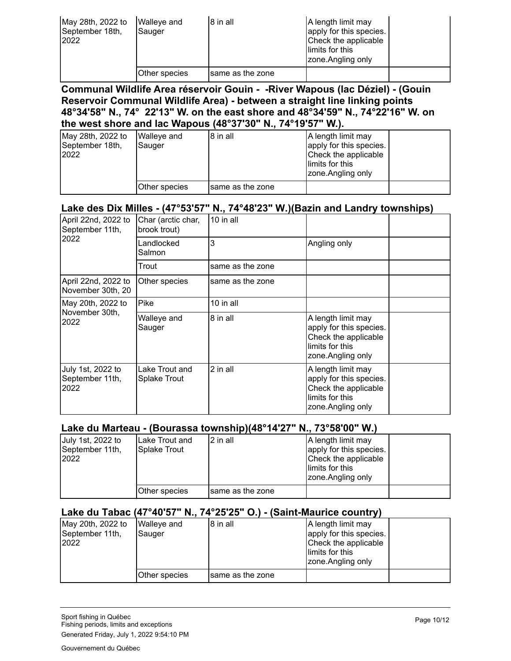| May 28th, 2022 to<br>September 18th,<br>2022 | <b>Walleye and</b><br>Sauger | 8 in all          | A length limit may<br>apply for this species.<br>Check the applicable<br>llimits for this<br>zone.Angling only |  |
|----------------------------------------------|------------------------------|-------------------|----------------------------------------------------------------------------------------------------------------|--|
|                                              | <b>Other species</b>         | Isame as the zone |                                                                                                                |  |

**Communal Wildlife Area réservoir Gouin - -River Wapous (lac Déziel) - (Gouin Reservoir Communal Wildlife Area) - between a straight line linking points 48°34'58" N., 74° 22'13" W. on the east shore and 48°34'59" N., 74°22'16" W. on the west shore and lac Wapous (48°37'30" N., 74°19'57" W.).**

| May 28th, 2022 to<br>September 18th,<br>2022 | <b>Walleye and</b><br><b>Sauger</b> | 8 in all         | A length limit may<br>apply for this species.<br>Check the applicable<br>limits for this<br>zone.Angling only |  |
|----------------------------------------------|-------------------------------------|------------------|---------------------------------------------------------------------------------------------------------------|--|
|                                              | Other species                       | same as the zone |                                                                                                               |  |

#### **Lake des Dix Milles - (47°53'57" N., 74°48'23" W.)(Bazin and Landry townships)**

| April 22nd, 2022 to<br>September 11th,       | Char (arctic char,<br>brook trout) | $10$ in all      |                                                                                                                |  |
|----------------------------------------------|------------------------------------|------------------|----------------------------------------------------------------------------------------------------------------|--|
| 2022                                         | Landlocked<br>Salmon               | 3                | Angling only                                                                                                   |  |
|                                              | Trout                              | same as the zone |                                                                                                                |  |
| April 22nd, 2022 to<br>November 30th, 20     | Other species                      | same as the zone |                                                                                                                |  |
| May 20th, 2022 to                            | Pike                               | 10 in all        |                                                                                                                |  |
| November 30th,<br>2022                       | Walleye and<br>Sauger              | 8 in all         | A length limit may<br>apply for this species.<br>Check the applicable<br>limits for this<br>zone. Angling only |  |
| July 1st, 2022 to<br>September 11th,<br>2022 | Lake Trout and<br>Splake Trout     | 2 in all         | A length limit may<br>apply for this species.<br>Check the applicable<br>limits for this<br>zone. Angling only |  |

#### **Lake du Marteau - (Bourassa township)(48°14'27" N., 73°58'00" W.)**

| July 1st, 2022 to<br>September 11th,<br>2022 | ILake Trout and<br>Splake Trout | .<br>2 in all     | A length limit may<br>apply for this species.<br>Check the applicable<br>llimits for this<br>zone.Angling only |  |
|----------------------------------------------|---------------------------------|-------------------|----------------------------------------------------------------------------------------------------------------|--|
|                                              | Other species                   | Isame as the zone |                                                                                                                |  |

#### **Lake du Tabac (47°40'57" N., 74°25'25" O.) - (Saint-Maurice country)**

| May 20th, 2022 to<br>September 11th,<br>2022 | Walleye and<br>Sauger | 18 in all         | A length limit may<br>apply for this species.<br>Check the applicable<br>llimits for this<br>zone.Angling only |  |
|----------------------------------------------|-----------------------|-------------------|----------------------------------------------------------------------------------------------------------------|--|
|                                              | Other species         | Isame as the zone |                                                                                                                |  |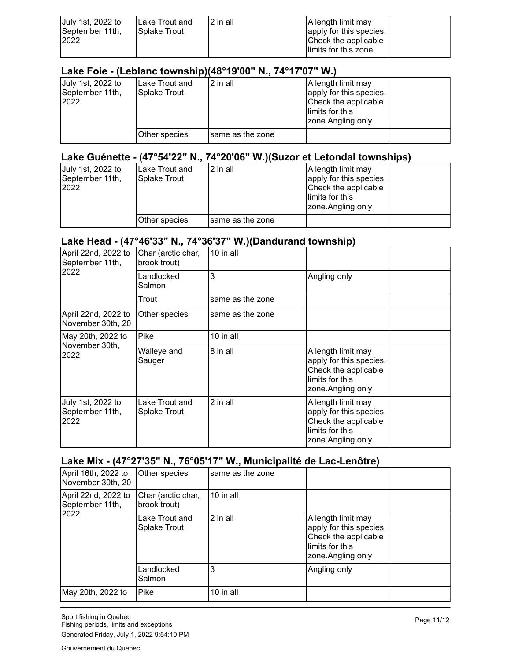| July 1st, 2022 to<br>September 11th,<br>2022 | Lake Trout and<br>2 in all<br><b>ISplake Trout</b> | A length limit may<br>apply for this species.<br>Check the applicable<br>llimits for this zone. |  |
|----------------------------------------------|----------------------------------------------------|-------------------------------------------------------------------------------------------------|--|
|----------------------------------------------|----------------------------------------------------|-------------------------------------------------------------------------------------------------|--|

#### **Lake Foie - (Leblanc township)(48°19'00" N., 74°17'07" W.)**

| July 1st, 2022 to<br>September 11th,<br>2022 | Lake Trout and<br>Splake Trout | 2 in all          | A length limit may<br>apply for this species.<br>Check the applicable<br>llimits for this<br>zone.Angling only |  |
|----------------------------------------------|--------------------------------|-------------------|----------------------------------------------------------------------------------------------------------------|--|
|                                              | Other species                  | Isame as the zone |                                                                                                                |  |

### **Lake Guénette - (47°54'22" N., 74°20'06" W.)(Suzor et Letondal townships)**

| July 1st, 2022 to<br>September 11th,<br>2022 | ILake Trout and<br>Splake Trout | l 2 in all       | A length limit may<br>apply for this species.<br>Check the applicable<br>llimits for this<br>zone.Angling only |  |
|----------------------------------------------|---------------------------------|------------------|----------------------------------------------------------------------------------------------------------------|--|
|                                              | Other species                   | same as the zone |                                                                                                                |  |

#### **Lake Head - (47°46'33" N., 74°36'37" W.)(Dandurand township)**

| April 22nd, 2022 to<br>September 11th,       | Char (arctic char,<br>brook trout) | 10 in all        |                                                                                                                |  |
|----------------------------------------------|------------------------------------|------------------|----------------------------------------------------------------------------------------------------------------|--|
| 2022                                         | Landlocked<br>Salmon               | 3                | Angling only                                                                                                   |  |
|                                              | Trout                              | same as the zone |                                                                                                                |  |
| April 22nd, 2022 to<br>November 30th, 20     | Other species                      | same as the zone |                                                                                                                |  |
| May 20th, 2022 to                            | Pike                               | 10 in all        |                                                                                                                |  |
| November 30th,<br>2022                       | Walleye and<br>Sauger              | 8 in all         | A length limit may<br>apply for this species.<br>Check the applicable<br>limits for this<br>zone. Angling only |  |
| July 1st, 2022 to<br>September 11th,<br>2022 | Lake Trout and<br>Splake Trout     | 2 in all         | A length limit may<br>apply for this species.<br>Check the applicable<br>limits for this<br>zone. Angling only |  |

### **Lake Mix - (47°27'35" N., 76°05'17" W., Municipalité de Lac-Lenôtre)**

| April 16th, 2022 to<br>November 30th, 20       | Other species                         | same as the zone |                                                                                                                 |  |
|------------------------------------------------|---------------------------------------|------------------|-----------------------------------------------------------------------------------------------------------------|--|
| April 22nd, 2022 to<br>September 11th,<br>2022 | Char (arctic char,<br>brook trout)    | 10 in all        |                                                                                                                 |  |
|                                                | Lake Trout and<br><b>Splake Trout</b> | 2 in all         | A length limit may<br>apply for this species.<br>Check the applicable<br>llimits for this<br>zone. Angling only |  |
|                                                | Landlocked<br>Salmon                  | 3                | Angling only                                                                                                    |  |
| May 20th, 2022 to                              | Pike                                  | 10 in all        |                                                                                                                 |  |